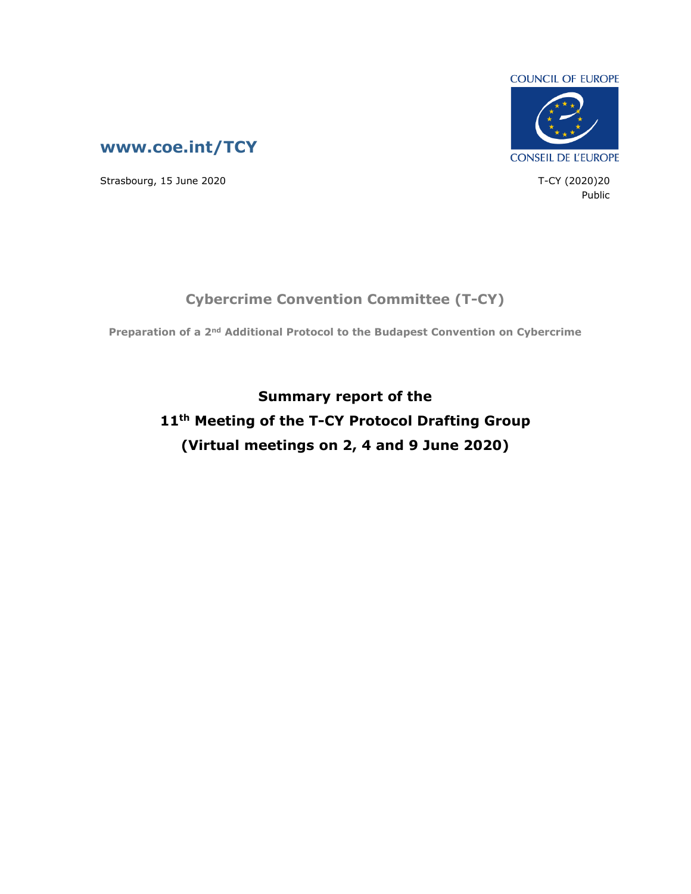



Strasbourg, 15 June 2020 T-CY (2020)20

Public

## **Cybercrime Convention Committee (T-CY)**

**Preparation of a 2nd Additional Protocol to the Budapest Convention on Cybercrime**

**Summary report of the 11th Meeting of the T-CY Protocol Drafting Group (Virtual meetings on 2, 4 and 9 June 2020)**